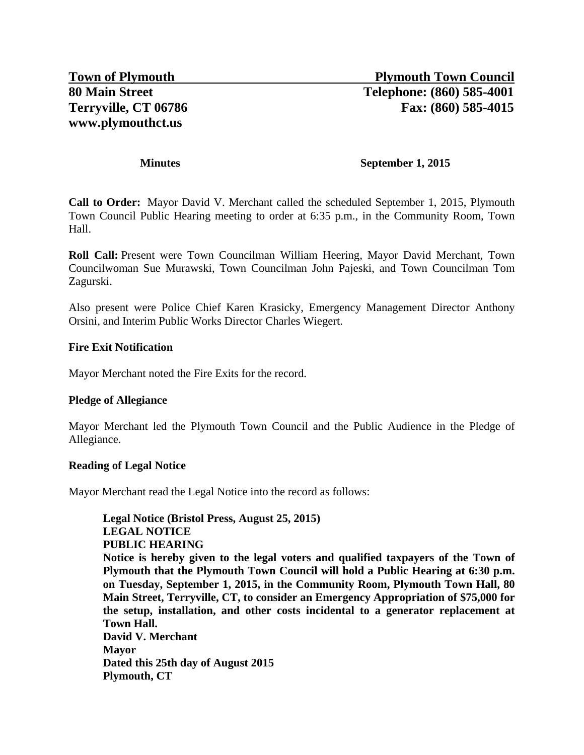#### **Minutes September 1, 2015**

**Call to Order:** Mayor David V. Merchant called the scheduled September 1, 2015, Plymouth Town Council Public Hearing meeting to order at 6:35 p.m., in the Community Room, Town Hall.

**Roll Call:** Present were Town Councilman William Heering, Mayor David Merchant, Town Councilwoman Sue Murawski, Town Councilman John Pajeski, and Town Councilman Tom Zagurski.

Also present were Police Chief Karen Krasicky, Emergency Management Director Anthony Orsini, and Interim Public Works Director Charles Wiegert.

### **Fire Exit Notification**

Mayor Merchant noted the Fire Exits for the record.

### **Pledge of Allegiance**

Mayor Merchant led the Plymouth Town Council and the Public Audience in the Pledge of Allegiance.

### **Reading of Legal Notice**

Mayor Merchant read the Legal Notice into the record as follows:

**Legal Notice (Bristol Press, August 25, 2015) LEGAL NOTICE PUBLIC HEARING Notice is hereby given to the legal voters and qualified taxpayers of the Town of Plymouth that the Plymouth Town Council will hold a Public Hearing at 6:30 p.m. on Tuesday, September 1, 2015, in the Community Room, Plymouth Town Hall, 80 Main Street, Terryville, CT, to consider an Emergency Appropriation of \$75,000 for the setup, installation, and other costs incidental to a generator replacement at Town Hall. David V. Merchant Mayor Dated this 25th day of August 2015 Plymouth, CT**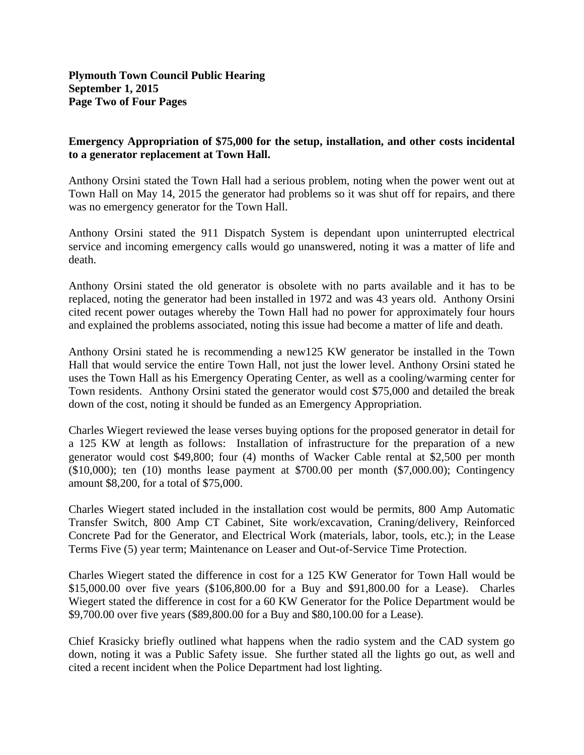# **Emergency Appropriation of \$75,000 for the setup, installation, and other costs incidental to a generator replacement at Town Hall.**

Anthony Orsini stated the Town Hall had a serious problem, noting when the power went out at Town Hall on May 14, 2015 the generator had problems so it was shut off for repairs, and there was no emergency generator for the Town Hall.

Anthony Orsini stated the 911 Dispatch System is dependant upon uninterrupted electrical service and incoming emergency calls would go unanswered, noting it was a matter of life and death.

Anthony Orsini stated the old generator is obsolete with no parts available and it has to be replaced, noting the generator had been installed in 1972 and was 43 years old. Anthony Orsini cited recent power outages whereby the Town Hall had no power for approximately four hours and explained the problems associated, noting this issue had become a matter of life and death.

Anthony Orsini stated he is recommending a new125 KW generator be installed in the Town Hall that would service the entire Town Hall, not just the lower level. Anthony Orsini stated he uses the Town Hall as his Emergency Operating Center, as well as a cooling/warming center for Town residents. Anthony Orsini stated the generator would cost \$75,000 and detailed the break down of the cost, noting it should be funded as an Emergency Appropriation.

Charles Wiegert reviewed the lease verses buying options for the proposed generator in detail for a 125 KW at length as follows: Installation of infrastructure for the preparation of a new generator would cost \$49,800; four (4) months of Wacker Cable rental at \$2,500 per month (\$10,000); ten (10) months lease payment at \$700.00 per month (\$7,000.00); Contingency amount \$8,200, for a total of \$75,000.

Charles Wiegert stated included in the installation cost would be permits, 800 Amp Automatic Transfer Switch, 800 Amp CT Cabinet, Site work/excavation, Craning/delivery, Reinforced Concrete Pad for the Generator, and Electrical Work (materials, labor, tools, etc.); in the Lease Terms Five (5) year term; Maintenance on Leaser and Out-of-Service Time Protection.

Charles Wiegert stated the difference in cost for a 125 KW Generator for Town Hall would be \$15,000.00 over five years (\$106,800.00 for a Buy and \$91,800.00 for a Lease). Charles Wiegert stated the difference in cost for a 60 KW Generator for the Police Department would be \$9,700.00 over five years (\$89,800.00 for a Buy and \$80,100.00 for a Lease).

Chief Krasicky briefly outlined what happens when the radio system and the CAD system go down, noting it was a Public Safety issue. She further stated all the lights go out, as well and cited a recent incident when the Police Department had lost lighting.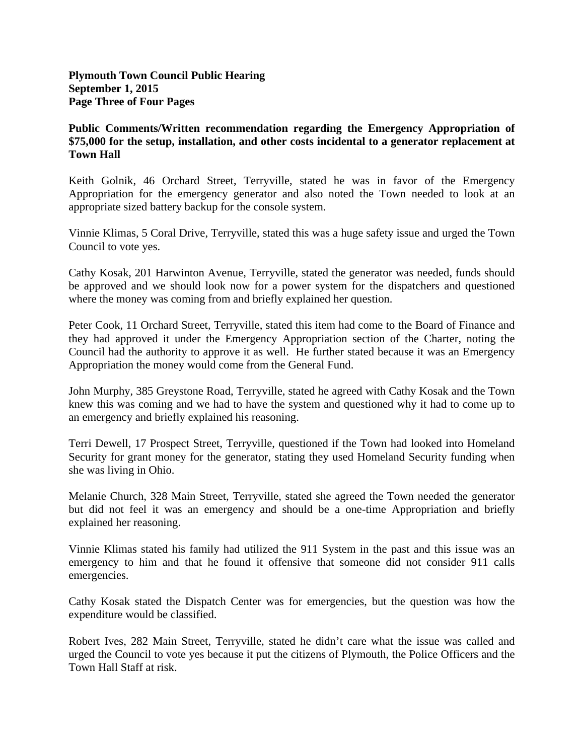**Plymouth Town Council Public Hearing September 1, 2015 Page Three of Four Pages**

# **Public Comments/Written recommendation regarding the Emergency Appropriation of \$75,000 for the setup, installation, and other costs incidental to a generator replacement at Town Hall**

Keith Golnik, 46 Orchard Street, Terryville, stated he was in favor of the Emergency Appropriation for the emergency generator and also noted the Town needed to look at an appropriate sized battery backup for the console system.

Vinnie Klimas, 5 Coral Drive, Terryville, stated this was a huge safety issue and urged the Town Council to vote yes.

Cathy Kosak, 201 Harwinton Avenue, Terryville, stated the generator was needed, funds should be approved and we should look now for a power system for the dispatchers and questioned where the money was coming from and briefly explained her question.

Peter Cook, 11 Orchard Street, Terryville, stated this item had come to the Board of Finance and they had approved it under the Emergency Appropriation section of the Charter, noting the Council had the authority to approve it as well. He further stated because it was an Emergency Appropriation the money would come from the General Fund.

John Murphy, 385 Greystone Road, Terryville, stated he agreed with Cathy Kosak and the Town knew this was coming and we had to have the system and questioned why it had to come up to an emergency and briefly explained his reasoning.

Terri Dewell, 17 Prospect Street, Terryville, questioned if the Town had looked into Homeland Security for grant money for the generator, stating they used Homeland Security funding when she was living in Ohio.

Melanie Church, 328 Main Street, Terryville, stated she agreed the Town needed the generator but did not feel it was an emergency and should be a one-time Appropriation and briefly explained her reasoning.

Vinnie Klimas stated his family had utilized the 911 System in the past and this issue was an emergency to him and that he found it offensive that someone did not consider 911 calls emergencies.

Cathy Kosak stated the Dispatch Center was for emergencies, but the question was how the expenditure would be classified.

Robert Ives, 282 Main Street, Terryville, stated he didn't care what the issue was called and urged the Council to vote yes because it put the citizens of Plymouth, the Police Officers and the Town Hall Staff at risk.